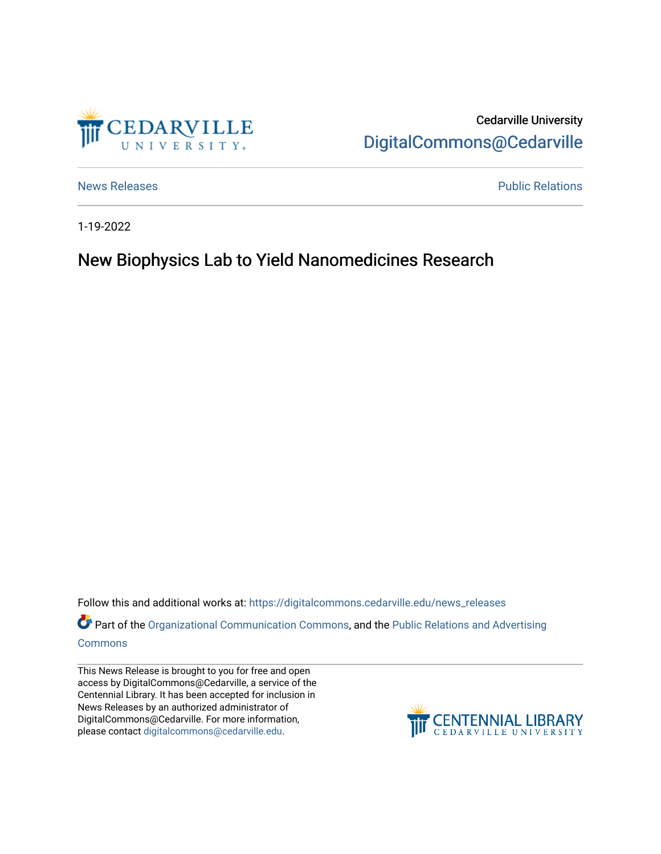

Cedarville University [DigitalCommons@Cedarville](https://digitalcommons.cedarville.edu/) 

[News Releases](https://digitalcommons.cedarville.edu/news_releases) **Public Relations Public Relations** 

1-19-2022

## New Biophysics Lab to Yield Nanomedicines Research

Follow this and additional works at: [https://digitalcommons.cedarville.edu/news\\_releases](https://digitalcommons.cedarville.edu/news_releases?utm_source=digitalcommons.cedarville.edu%2Fnews_releases%2F1483&utm_medium=PDF&utm_campaign=PDFCoverPages) 

Part of the [Organizational Communication Commons](http://network.bepress.com/hgg/discipline/335?utm_source=digitalcommons.cedarville.edu%2Fnews_releases%2F1483&utm_medium=PDF&utm_campaign=PDFCoverPages), and the Public Relations and Advertising [Commons](http://network.bepress.com/hgg/discipline/336?utm_source=digitalcommons.cedarville.edu%2Fnews_releases%2F1483&utm_medium=PDF&utm_campaign=PDFCoverPages)

This News Release is brought to you for free and open access by DigitalCommons@Cedarville, a service of the Centennial Library. It has been accepted for inclusion in News Releases by an authorized administrator of DigitalCommons@Cedarville. For more information, please contact [digitalcommons@cedarville.edu](mailto:digitalcommons@cedarville.edu).

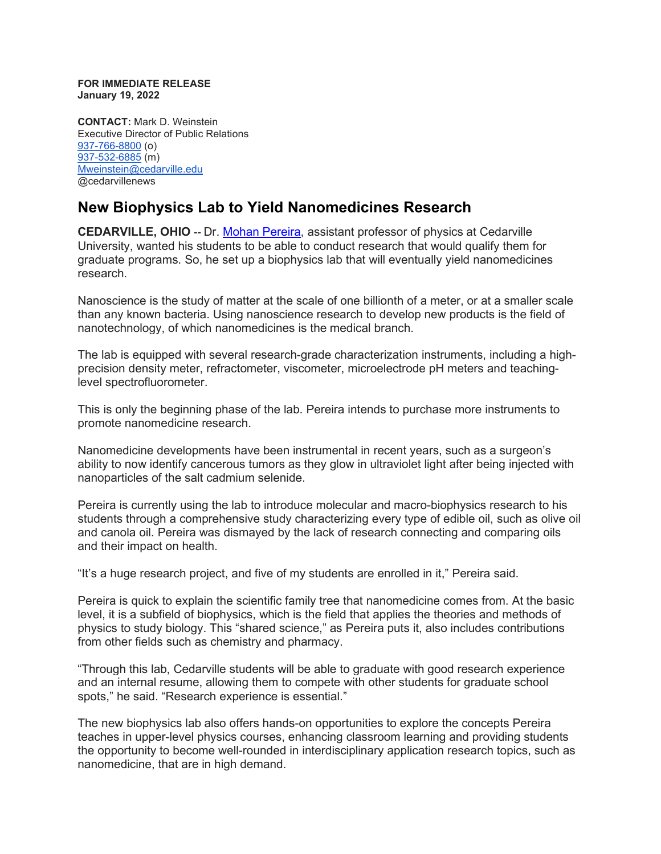**FOR IMMEDIATE RELEASE January 19, 2022**

**CONTACT:** Mark D. Weinstein Executive Director of Public Relations [937-766-8800](tel:937-766-8800) (o) [937-532-6885](tel:937-532-6885) (m) [Mweinstein@cedarville.edu](mailto:Mweinstein@cedarville.edu) @cedarvillenews

## **New Biophysics Lab to Yield Nanomedicines Research**

**CEDARVILLE, OHIO --** Dr. Mohan [Pereira,](https://www.cedarville.edu/academic-schools-and-departments/science-and-mathematics/faculty-staff/pereira-mohan) assistant professor of physics at Cedarville University, wanted his students to be able to conduct research that would qualify them for graduate programs. So, he set up a biophysics lab that will eventually yield nanomedicines research.

Nanoscience is the study of matter at the scale of one billionth of a meter, or at a smaller scale than any known bacteria. Using nanoscience research to develop new products is the field of nanotechnology, of which nanomedicines is the medical branch.

The lab is equipped with several research-grade characterization instruments, including a highprecision density meter, refractometer, viscometer, microelectrode pH meters and teachinglevel spectrofluorometer.

This is only the beginning phase of the lab. Pereira intends to purchase more instruments to promote nanomedicine research.

Nanomedicine developments have been instrumental in recent years, such as a surgeon's ability to now identify cancerous tumors as they glow in ultraviolet light after being injected with nanoparticles of the salt cadmium selenide.

Pereira is currently using the lab to introduce molecular and macro-biophysics research to his students through a comprehensive study characterizing every type of edible oil, such as olive oil and canola oil. Pereira was dismayed by the lack of research connecting and comparing oils and their impact on health.

"It's a huge research project, and five of my students are enrolled in it," Pereira said.

Pereira is quick to explain the scientific family tree that nanomedicine comes from. At the basic level, it is a subfield of biophysics, which is the field that applies the theories and methods of physics to study biology. This "shared science," as Pereira puts it, also includes contributions from other fields such as chemistry and pharmacy.

"Through this lab, Cedarville students will be able to graduate with good research experience and an internal resume, allowing them to compete with other students for graduate school spots," he said. "Research experience is essential."

The new biophysics lab also offers hands-on opportunities to explore the concepts Pereira teaches in upper-level physics courses, enhancing classroom learning and providing students the opportunity to become well-rounded in interdisciplinary application research topics, such as nanomedicine, that are in high demand.